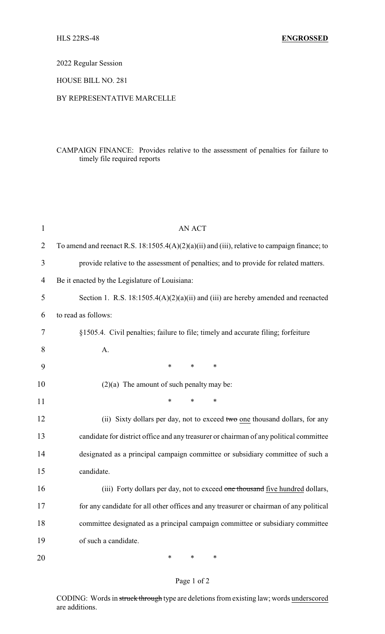2022 Regular Session

HOUSE BILL NO. 281

## BY REPRESENTATIVE MARCELLE

## CAMPAIGN FINANCE: Provides relative to the assessment of penalties for failure to timely file required reports

| $\mathbf{1}$   | <b>AN ACT</b>                                                                                |  |  |
|----------------|----------------------------------------------------------------------------------------------|--|--|
| $\overline{2}$ | To amend and reenact R.S. 18:1505.4(A)(2)(a)(ii) and (iii), relative to campaign finance; to |  |  |
| 3              | provide relative to the assessment of penalties; and to provide for related matters.         |  |  |
| $\overline{4}$ | Be it enacted by the Legislature of Louisiana:                                               |  |  |
| 5              | Section 1. R.S. $18:1505.4(A)(2)(a)(ii)$ and (iii) are hereby amended and reenacted          |  |  |
| 6              | to read as follows:                                                                          |  |  |
| 7              | §1505.4. Civil penalties; failure to file; timely and accurate filing; forfeiture            |  |  |
| 8              | A.                                                                                           |  |  |
| 9              | *<br>*<br>$\ast$                                                                             |  |  |
| 10             | $(2)(a)$ The amount of such penalty may be:                                                  |  |  |
| 11             | $\ast$<br>*<br>$\ast$                                                                        |  |  |
| 12             | (ii) Sixty dollars per day, not to exceed two one thousand dollars, for any                  |  |  |
| 13             | candidate for district office and any treasurer or chairman of any political committee       |  |  |
| 14             | designated as a principal campaign committee or subsidiary committee of such a               |  |  |
| 15             | candidate.                                                                                   |  |  |
| 16             | (iii) Forty dollars per day, not to exceed one thousand five hundred dollars,                |  |  |
| 17             | for any candidate for all other offices and any treasurer or chairman of any political       |  |  |
| 18             | committee designated as a principal campaign committee or subsidiary committee               |  |  |
| 19             | of such a candidate.                                                                         |  |  |
| 20             | ∗<br>∗<br>∗                                                                                  |  |  |

## Page 1 of 2

CODING: Words in struck through type are deletions from existing law; words underscored are additions.